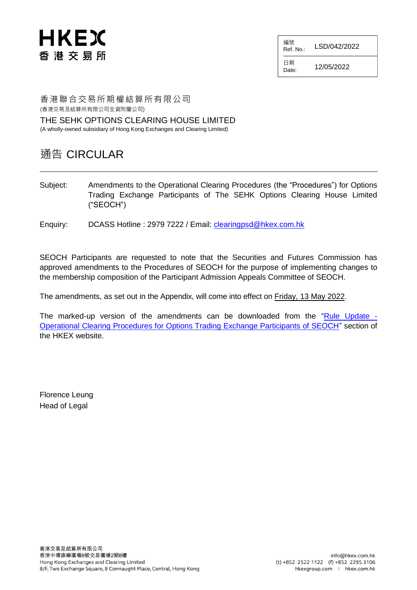

編號 Ref. No.: LSD/042/2022

日期  $D_{\text{date}}$ : 12/05/2022

香港聯合交易所期權結算所有限公司 (香港交易及結算所有限公司全資附屬公司)

THE SEHK OPTIONS CLEARING HOUSE LIMITED (A wholly-owned subsidiary of Hong Kong Exchanges and Clearing Limited)

# 通告 CIRCULAR

- Subject: Amendments to the Operational Clearing Procedures (the "Procedures") for Options Trading Exchange Participants of The SEHK Options Clearing House Limited ("SEOCH")
- Enquiry: DCASS Hotline : 2979 7222 / Email: [clearingpsd@hkex.com.hk](mailto:clearingpsd@hkex.com.hk)

SEOCH Participants are requested to note that the Securities and Futures Commission has approved amendments to the Procedures of SEOCH for the purpose of implementing changes to the membership composition of the Participant Admission Appeals Committee of SEOCH.

The amendments, as set out in the Appendix, will come into effect on Friday, 13 May 2022.

The marked-up version of the amendments can be downloaded from the ["Rule Update -](https://www.hkex.com.hk/Services/Rules-and-Forms-and-Fees/Rules/SEOCH/Rules/Rule-Update-Operational-Clearing-Procedures-for-Options-Trading-Exchange-Participants-of-SEOCH?sc_lang=en) [Operational Clearing Procedures for Options Trading Exchange Participants of SEOCH"](https://www.hkex.com.hk/Services/Rules-and-Forms-and-Fees/Rules/SEOCH/Rules/Rule-Update-Operational-Clearing-Procedures-for-Options-Trading-Exchange-Participants-of-SEOCH?sc_lang=en) section of the HKEX website.

Florence Leung Head of Legal